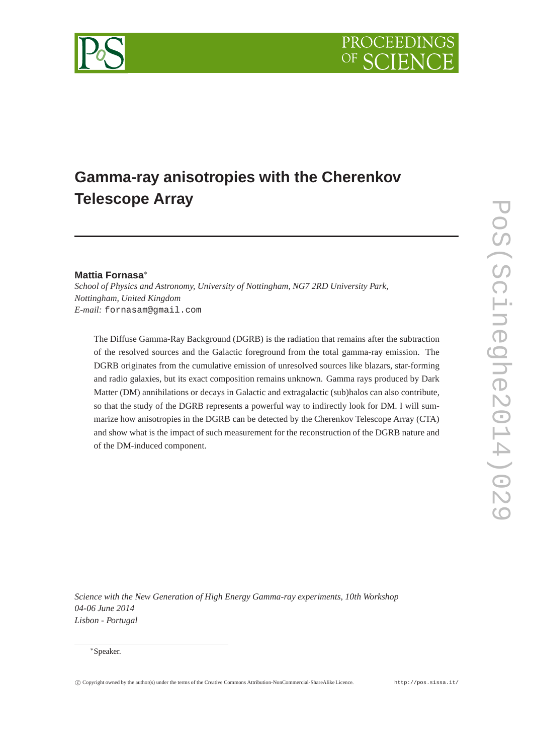

# **Gamma-ray anisotropies with the Cherenkov Telescope Array**

## **Mattia Fornasa**<sup>∗</sup>

*School of Physics and Astronomy, University of Nottingham, NG7 2RD University Park, Nottingham, United Kingdom E-mail:* fornasam@gmail.com

The Diffuse Gamma-Ray Background (DGRB) is the radiation that remains after the subtraction of the resolved sources and the Galactic foreground from the total gamma-ray emission. The DGRB originates from the cumulative emission of unresolved sources like blazars, star-forming and radio galaxies, but its exact composition remains unknown. Gamma rays produced by Dark Matter (DM) annihilations or decays in Galactic and extragalactic (sub)halos can also contribute, so that the study of the DGRB represents a powerful way to indirectly look for DM. I will summarize how anisotropies in the DGRB can be detected by the Cherenkov Telescope Array (CTA) and show what is the impact of such measurement for the reconstruction of the DGRB nature and of the DM-induced component.

*Science with the New Generation of High Energy Gamma-ray experiments, 10th Workshop 04-06 June 2014 Lisbon - Portugal*

#### <sup>∗</sup>Speaker.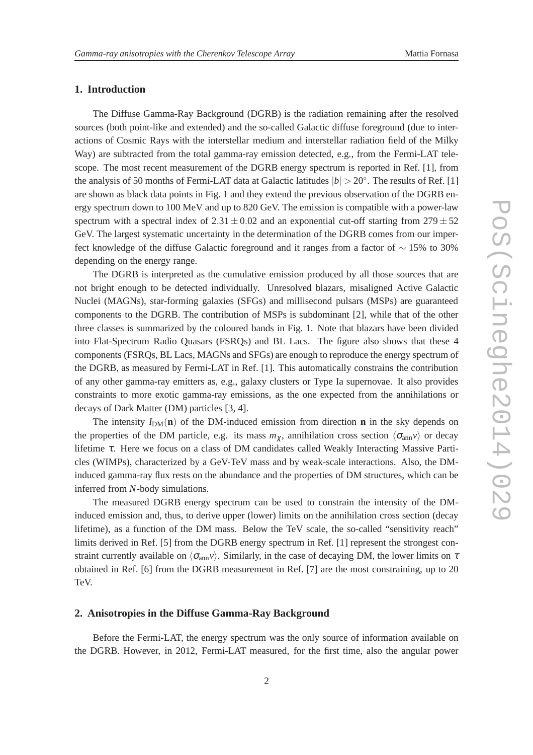## **1. Introduction**

The Diffuse Gamma-Ray Background (DGRB) is the radiation remaining after the resolved sources (both point-like and extended) and the so-called Galactic diffuse foreground (due to interactions of Cosmic Rays with the interstellar medium and interstellar radiation field of the Milky Way) are subtracted from the total gamma-ray emission detected, e.g., from the Fermi-LAT telescope. The most recent measurement of the DGRB energy spectrum is reported in Ref. [1], from the analysis of 50 months of Fermi-LAT data at Galactic latitudes  $|b| > 20^\circ$ . The results of Ref. [1] are shown as black data points in Fig. 1 and they extend the previous observation of the DGRB energy spectrum down to 100 MeV and up to 820 GeV. The emission is compatible with a power-law spectrum with a spectral index of  $2.31 \pm 0.02$  and an exponential cut-off starting from  $279 \pm 52$ GeV. The largest systematic uncertainty in the determination of the DGRB comes from our imperfect knowledge of the diffuse Galactic foreground and it ranges from a factor of ∼ 15% to 30% depending on the energy range.

The DGRB is interpreted as the cumulative emission produced by all those sources that are not bright enough to be detected individually. Unresolved blazars, misaligned Active Galactic Nuclei (MAGNs), star-forming galaxies (SFGs) and millisecond pulsars (MSPs) are guaranteed components to the DGRB. The contribution of MSPs is subdominant [2], while that of the other three classes is summarized by the coloured bands in Fig. 1. Note that blazars have been divided into Flat-Spectrum Radio Quasars (FSRQs) and BL Lacs. The figure also shows that these 4 components (FSRQs, BL Lacs, MAGNs and SFGs) are enough to reproduce the energy spectrum of the DGRB, as measured by Fermi-LAT in Ref. [1]. This automatically constrains the contribution of any other gamma-ray emitters as, e.g., galaxy clusters or Type Ia supernovae. It also provides constraints to more exotic gamma-ray emissions, as the one expected from the annihilations or decays of Dark Matter (DM) particles [3, 4].

The intensity  $I_{DM}(\mathbf{n})$  of the DM-induced emission from direction **n** in the sky depends on the properties of the DM particle, e.g. its mass  $m_{\chi}$ , annihilation cross section  $\langle \sigma_{\rm ann} v \rangle$  or decay lifetime <sup>τ</sup>. Here we focus on a class of DM candidates called Weakly Interacting Massive Particles (WIMPs), characterized by a GeV-TeV mass and by weak-scale interactions. Also, the DMinduced gamma-ray flux rests on the abundance and the properties of DM structures, which can be inferred from *N*-body simulations.

The measured DGRB energy spectrum can be used to constrain the intensity of the DMinduced emission and, thus, to derive upper (lower) limits on the annihilation cross section (decay lifetime), as a function of the DM mass. Below the TeV scale, the so-called "sensitivity reach" limits derived in Ref. [5] from the DGRB energy spectrum in Ref. [1] represent the strongest constraint currently available on  $\langle \sigma_{\text{ann}} v \rangle$ . Similarly, in the case of decaying DM, the lower limits on  $\tau$ obtained in Ref. [6] from the DGRB measurement in Ref. [7] are the most constraining, up to 20 TeV.

## **2. Anisotropies in the Diffuse Gamma-Ray Background**

Before the Fermi-LAT, the energy spectrum was the only source of information available on the DGRB. However, in 2012, Fermi-LAT measured, for the first time, also the angular power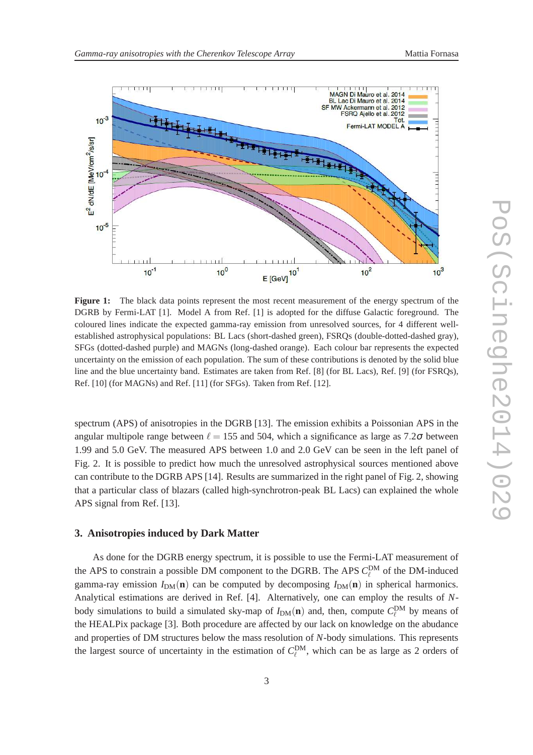

**Figure 1:** The black data points represent the most recent measurement of the energy spectrum of the DGRB by Fermi-LAT [1]. Model A from Ref. [1] is adopted for the diffuse Galactic foreground. The coloured lines indicate the expected gamma-ray emission from unresolved sources, for 4 different wellestablished astrophysical populations: BL Lacs (short-dashed green), FSRQs (double-dotted-dashed gray), SFGs (dotted-dashed purple) and MAGNs (long-dashed orange). Each colour bar represents the expected uncertainty on the emission of each population. The sum of these contributions is denoted by the solid blue line and the blue uncertainty band. Estimates are taken from Ref. [8] (for BL Lacs), Ref. [9] (for FSRQs), Ref. [10] (for MAGNs) and Ref. [11] (for SFGs). Taken from Ref. [12].

spectrum (APS) of anisotropies in the DGRB [13]. The emission exhibits a Poissonian APS in the angular multipole range between  $\ell = 155$  and 504, which a significance as large as 7.2 $\sigma$  between 1.99 and 5.0 GeV. The measured APS between 1.0 and 2.0 GeV can be seen in the left panel of Fig. 2. It is possible to predict how much the unresolved astrophysical sources mentioned above can contribute to the DGRB APS [14]. Results are summarized in the right panel of Fig. 2, showing that a particular class of blazars (called high-synchrotron-peak BL Lacs) can explained the whole APS signal from Ref. [13].

## **3. Anisotropies induced by Dark Matter**

As done for the DGRB energy spectrum, it is possible to use the Fermi-LAT measurement of the APS to constrain a possible DM component to the DGRB. The APS  $C_{\ell}^{\text{DM}}$  of the DM-induced gamma-ray emission  $I_{DM}(\mathbf{n})$  can be computed by decomposing  $I_{DM}(\mathbf{n})$  in spherical harmonics. Analytical estimations are derived in Ref. [4]. Alternatively, one can employ the results of *N*body simulations to build a simulated sky-map of  $I_{DM}(\mathbf{n})$  and, then, compute  $C_{\ell}^{DM}$  by means of the HEALPix package [3]. Both procedure are affected by our lack on knowledge on the abudance and properties of DM structures below the mass resolution of *N*-body simulations. This represents the largest source of uncertainty in the estimation of  $C_{\ell}^{\text{DM}}$ , which can be as large as 2 orders of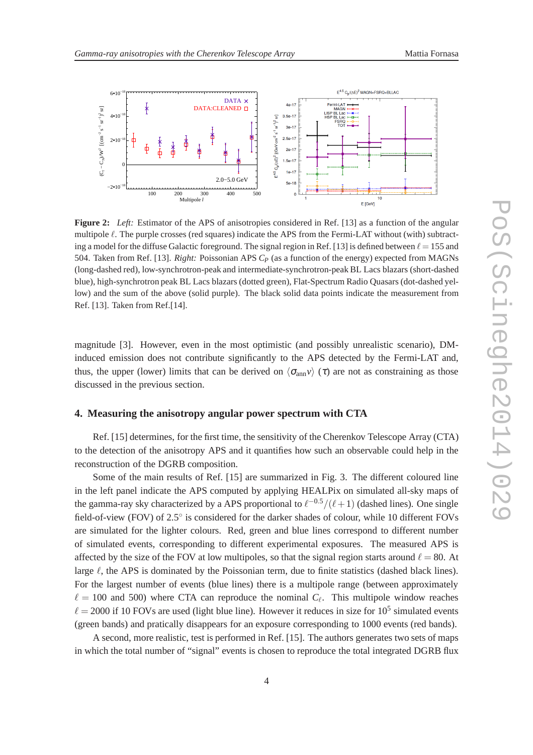

**Figure 2:** *Left:* Estimator of the APS of anisotropies considered in Ref. [13] as a function of the angular multipole ℓ. The purple crosses (red squares) indicate the APS from the Fermi-LAT without (with) subtracting a model for the diffuse Galactic foreground. The signal region in Ref. [13] is defined between  $\ell = 155$  and 504. Taken from Ref. [13]. *Right:* Poissonian APS *C<sup>P</sup>* (as a function of the energy) expected from MAGNs (long-dashed red), low-synchrotron-peak and intermediate-synchrotron-peak BL Lacs blazars (short-dashed blue), high-synchrotron peak BL Lacs blazars (dotted green), Flat-Spectrum Radio Quasars (dot-dashed yellow) and the sum of the above (solid purple). The black solid data points indicate the measurement from Ref. [13]. Taken from Ref.[14].

magnitude [3]. However, even in the most optimistic (and possibly unrealistic scenario), DMinduced emission does not contribute significantly to the APS detected by the Fermi-LAT and, thus, the upper (lower) limits that can be derived on  $\langle \sigma_{ann} v \rangle$  ( $\tau$ ) are not as constraining as those discussed in the previous section.

#### **4. Measuring the anisotropy angular power spectrum with CTA**

Ref. [15] determines, for the first time, the sensitivity of the Cherenkov Telescope Array (CTA) to the detection of the anisotropy APS and it quantifies how such an observable could help in the reconstruction of the DGRB composition.

Some of the main results of Ref. [15] are summarized in Fig. 3. The different coloured line in the left panel indicate the APS computed by applying HEALPix on simulated all-sky maps of the gamma-ray sky characterized by a APS proportional to  $\ell^{-0.5}/(\ell+1)$  (dashed lines). One single field-of-view (FOV) of 2.5° is considered for the darker shades of colour, while 10 different FOVs are simulated for the lighter colours. Red, green and blue lines correspond to different number of simulated events, corresponding to different experimental exposures. The measured APS is affected by the size of the FOV at low multipoles, so that the signal region starts around  $\ell = 80$ . At large  $\ell$ , the APS is dominated by the Poissonian term, due to finite statistics (dashed black lines). For the largest number of events (blue lines) there is a multipole range (between approximately  $\ell = 100$  and 500) where CTA can reproduce the nominal  $C_{\ell}$ . This multipole window reaches  $\ell = 2000$  if 10 FOVs are used (light blue line). However it reduces in size for 10<sup>5</sup> simulated events (green bands) and pratically disappears for an exposure corresponding to 1000 events (red bands).

A second, more realistic, test is performed in Ref. [15]. The authors generates two sets of maps in which the total number of "signal" events is chosen to reproduce the total integrated DGRB flux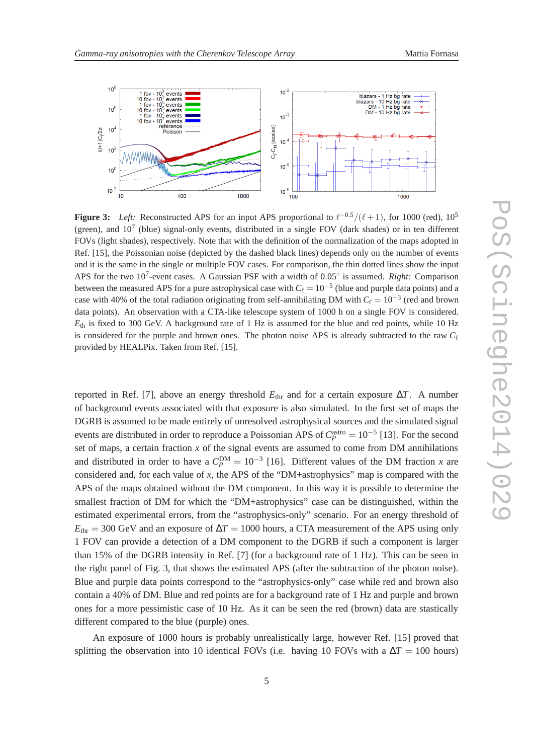



**Figure 3:** *Left:* Reconstructed APS for an input APS proportional to  $\ell^{-0.5}/(\ell+1)$ , for 1000 (red), 10<sup>5</sup> (green), and  $10<sup>7</sup>$  (blue) signal-only events, distributed in a single FOV (dark shades) or in ten different FOVs (light shades), respectively. Note that with the definition of the normalization of the maps adopted in Ref. [15], the Poissonian noise (depicted by the dashed black lines) depends only on the number of events and it is the same in the single or multiple FOV cases. For comparison, the thin dotted lines show the input APS for the two 10<sup>7</sup>-event cases. A Gaussian PSF with a width of 0.05° is assumed. *Right:* Comparison between the measured APS for a pure astrophysical case with  $C_{\ell} = 10^{-5}$  (blue and purple data points) and a case with 40% of the total radiation originating from self-annihilating DM with  $C_{\ell} = 10^{-3}$  (red and brown data points). An observation with a CTA-like telescope system of 1000 h on a single FOV is considered.  $E_{th}$  is fixed to 300 GeV. A background rate of 1 Hz is assumed for the blue and red points, while 10 Hz is considered for the purple and brown ones. The photon noise APS is already subtracted to the raw  $C_{\ell}$ provided by HEALPix. Taken from Ref. [15].

reported in Ref. [7], above an energy threshold  $E_{thr}$  and for a certain exposure  $\Delta T$ . A number of background events associated with that exposure is also simulated. In the first set of maps the DGRB is assumed to be made entirely of unresolved astrophysical sources and the simulated signal events are distributed in order to reproduce a Poissonian APS of  $C_P^{\text{astro}} = 10^{-5}$  [13]. For the second set of maps, a certain fraction *x* of the signal events are assumed to come from DM annihilations and distributed in order to have a  $C_P^{DM} = 10^{-3}$  [16]. Different values of the DM fraction *x* are considered and, for each value of *x*, the APS of the "DM+astrophysics" map is compared with the APS of the maps obtained without the DM component. In this way it is possible to determine the smallest fraction of DM for which the "DM+astrophysics" case can be distinguished, within the estimated experimental errors, from the "astrophysics-only" scenario. For an energy threshold of  $E_{\text{thr}}$  = 300 GeV and an exposure of  $\Delta T$  = 1000 hours, a CTA measurement of the APS using only 1 FOV can provide a detection of a DM component to the DGRB if such a component is larger than 15% of the DGRB intensity in Ref. [7] (for a background rate of 1 Hz). This can be seen in the right panel of Fig. 3, that shows the estimated APS (after the subtraction of the photon noise). Blue and purple data points correspond to the "astrophysics-only" case while red and brown also contain a 40% of DM. Blue and red points are for a background rate of 1 Hz and purple and brown ones for a more pessimistic case of 10 Hz. As it can be seen the red (brown) data are stastically different compared to the blue (purple) ones.

An exposure of 1000 hours is probably unrealistically large, however Ref. [15] proved that splitting the observation into 10 identical FOVs (i.e. having 10 FOVs with a  $\Delta T = 100$  hours)